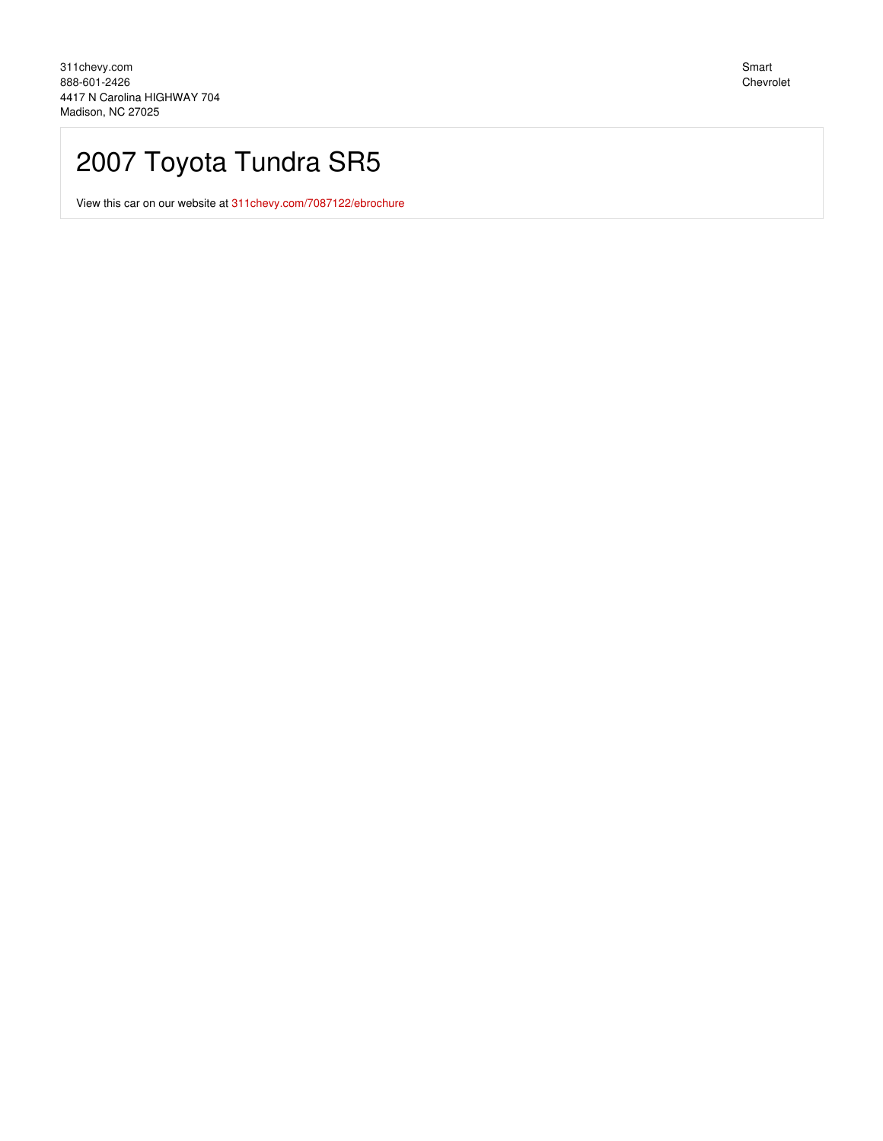## 2007 Toyota Tundra SR5

View this car on our website at 311 chevy.com/7087122/ebrochure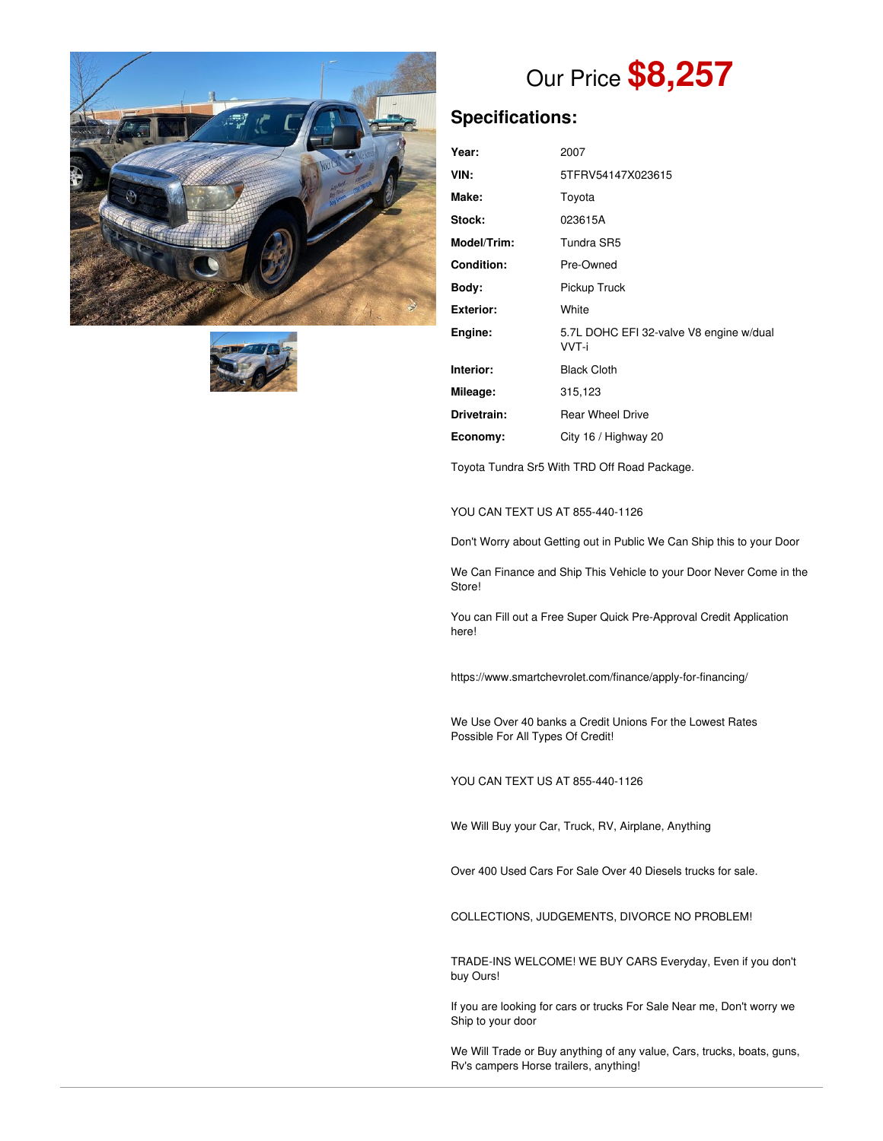



# Our Price **\$8,257**

## **Specifications:**

| Year:              | 2007                                             |
|--------------------|--------------------------------------------------|
| VIN:               | 5TFRV54147X023615                                |
| Make:              | Toyota                                           |
| Stock:             | 023615A                                          |
| <b>Model/Trim:</b> | Tundra SR5                                       |
| <b>Condition:</b>  | Pre-Owned                                        |
| Body:              | Pickup Truck                                     |
| Exterior:          | White                                            |
| Engine:            | 5.7L DOHC EFI 32-valve V8 engine w/dual<br>VVT-i |
| Interior:          | <b>Black Cloth</b>                               |
| Mileage:           | 315,123                                          |
| Drivetrain:        | <b>Rear Wheel Drive</b>                          |
| Economy:           | City 16 / Highway 20                             |

Toyota Tundra Sr5 With TRD Off Road Package.

#### YOU CAN TEXT US AT 855-440-1126

Don't Worry about Getting out in Public We Can Ship this to your Door

We Can Finance and Ship This Vehicle to your Door Never Come in the Store!

You can Fill out a Free Super Quick Pre-Approval Credit Application here!

https://www.smartchevrolet.com/finance/apply-for-financing/

We Use Over 40 banks a Credit Unions For the Lowest Rates Possible For All Types Of Credit!

YOU CAN TEXT US AT 855-440-1126

We Will Buy your Car, Truck, RV, Airplane, Anything

Over 400 Used Cars For Sale Over 40 Diesels trucks for sale.

COLLECTIONS, JUDGEMENTS, DIVORCE NO PROBLEM!

TRADE-INS WELCOME! WE BUY CARS Everyday, Even if you don't buy Ours!

If you are looking for cars or trucks For Sale Near me, Don't worry we Ship to your door

We Will Trade or Buy anything of any value, Cars, trucks, boats, guns, Rv's campers Horse trailers, anything!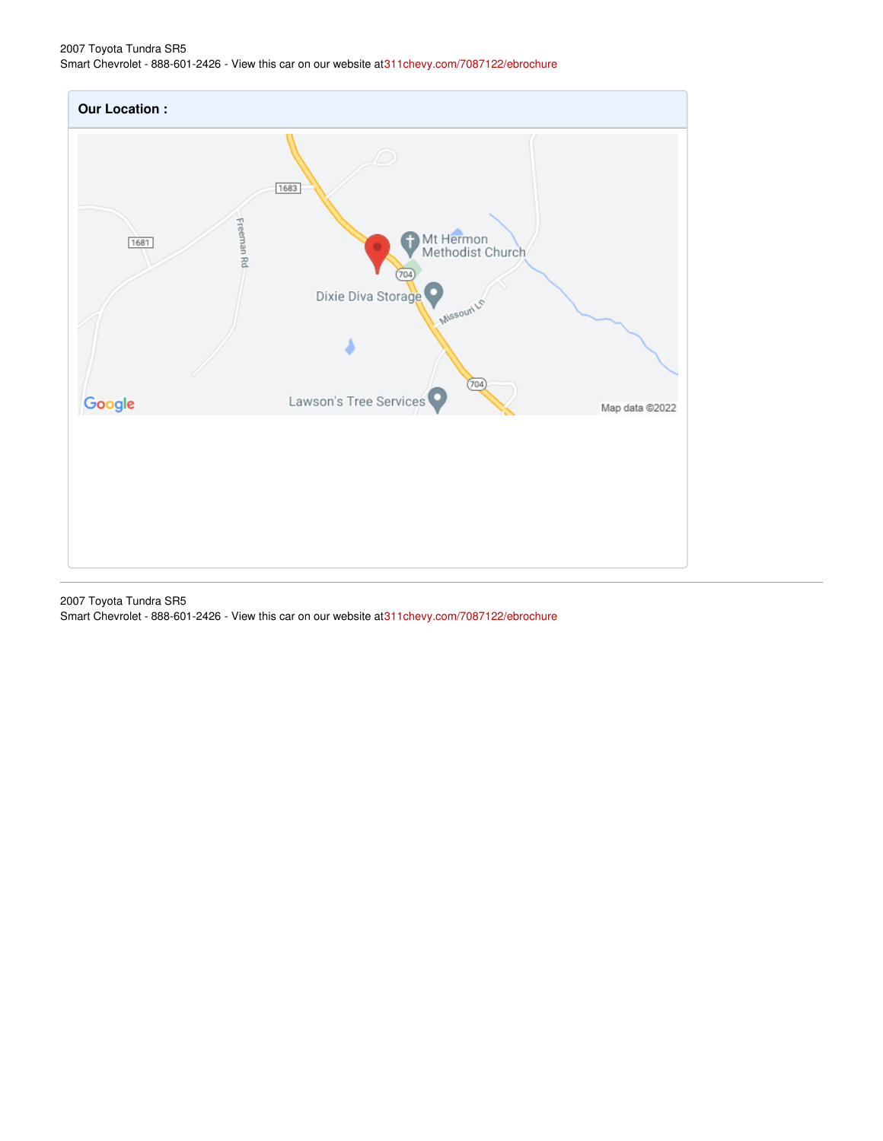## 2007 Toyota Tundra SR5 Smart Chevrolet - 888-601-2426 - View this car on our website a[t311chevy.com/7087122/ebrochure](https://311chevy.com/vehicle/7087122/2007-toyota-tundra-sr5-madison-nc-27025/7087122/ebrochure)



2007 Toyota Tundra SR5 Smart Chevrolet - 888-601-2426 - View this car on our website a[t311chevy.com/7087122/ebrochure](https://311chevy.com/vehicle/7087122/2007-toyota-tundra-sr5-madison-nc-27025/7087122/ebrochure)